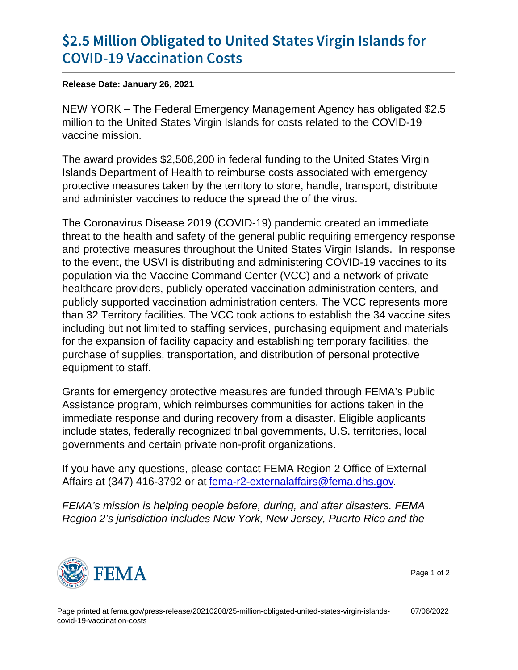## [\\$2.5 Million Obligated to United S](https://www.fema.gov/press-release/20210208/25-million-obligated-united-states-virgin-islands-covid-19-vaccination-costs)tates Vi [COVID-19 Vaccin](https://www.fema.gov/press-release/20210208/25-million-obligated-united-states-virgin-islands-covid-19-vaccination-costs)ation Costs

Release Date: January 26, 2021

NEW YORK – The Federal Emergency Management Agency has obligated \$2.5 million to the United States Virgin Islands for costs related to the COVID-19 vaccine mission.

The award provides \$2,506,200 in federal funding to the United States Virgin Islands Department of Health to reimburse costs associated with emergency protective measures taken by the territory to store, handle, transport, distribute and administer vaccines to reduce the spread the of the virus.

The Coronavirus Disease 2019 (COVID-19) pandemic created an immediate threat to the health and safety of the general public requiring emergency response and protective measures throughout the United States Virgin Islands. In response to the event, the USVI is distributing and administering COVID-19 vaccines to its population via the Vaccine Command Center (VCC) and a network of private healthcare providers, publicly operated vaccination administration centers, and publicly supported vaccination administration centers. The VCC represents more than 32 Territory facilities. The VCC took actions to establish the 34 vaccine sites including but not limited to staffing services, purchasing equipment and materials for the expansion of facility capacity and establishing temporary facilities, the purchase of supplies, transportation, and distribution of personal protective equipment to staff.

Grants for emergency protective measures are funded through FEMA's Public Assistance program, which reimburses communities for actions taken in the immediate response and during recovery from a disaster. Eligible applicants include states, federally recognized tribal governments, U.S. territories, local governments and certain private non-profit organizations.

If you have any questions, please contact FEMA Region 2 Office of External Affairs at (347) 416-3792 or at [fema-r2-externalaffairs@fema.dhs.gov.](mailto:fema-r2-externalaffairs@fema.dhs.gov)

FEMA's mission is helping people before, during, and after disasters. FEMA Region 2's jurisdiction includes New York, New Jersey, Puerto Rico and the



Page 1 of 2